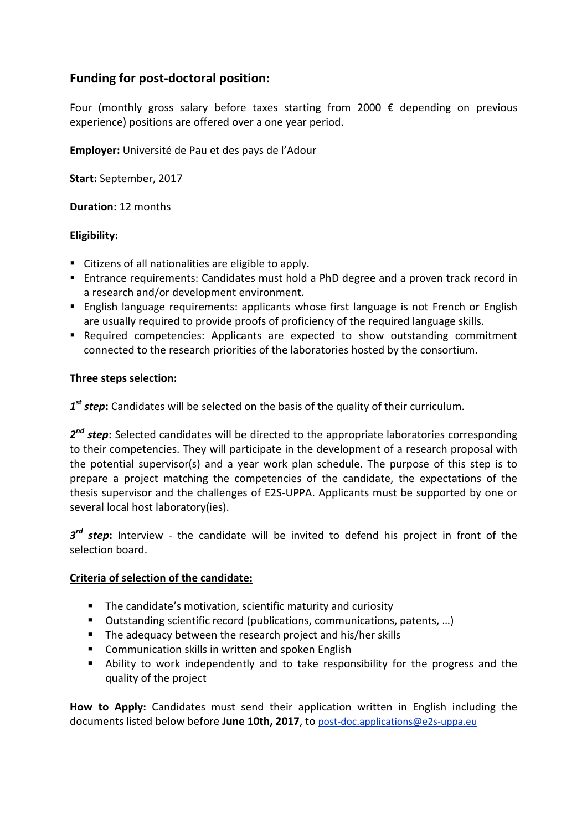# **Funding for post-doctoral position:**

Four (monthly gross salary before taxes starting from 2000 € depending on previous experience) positions are offered over a one year period.

**Employer:** Université de Pau et des pays de l'Adour

**Start:** September, 2017

**Duration:** 12 months

# **Eligibility:**

- Citizens of all nationalities are eligible to apply.
- Entrance requirements: Candidates must hold a PhD degree and a proven track record in a research and/or development environment.
- **English language requirements: applicants whose first language is not French or English** are usually required to provide proofs of proficiency of the required language skills.
- Required competencies: Applicants are expected to show outstanding commitment connected to the research priorities of the laboratories hosted by the consortium.

# **Three steps selection:**

*1 st step***:** Candidates will be selected on the basis of the quality of their curriculum.

*2 nd step***:** Selected candidates will be directed to the appropriate laboratories corresponding to their competencies. They will participate in the development of a research proposal with the potential supervisor(s) and a year work plan schedule. The purpose of this step is to prepare a project matching the competencies of the candidate, the expectations of the thesis supervisor and the challenges of E2S-UPPA. Applicants must be supported by one or several local host laboratory(ies).

*3 rd step***:** Interview - the candidate will be invited to defend his project in front of the selection board.

# **Criteria of selection of the candidate:**

- **The candidate's motivation, scientific maturity and curiosity**
- Outstanding scientific record (publications, communications, patents, ...)
- **The adequacy between the research project and his/her skills**
- **E** Communication skills in written and spoken English
- Ability to work independently and to take responsibility for the progress and the quality of the project

**How to Apply:** Candidates must send their application written in English including the documents listed below before **June 10th, 2017**, to post-doc.applications@e2s-uppa.eu